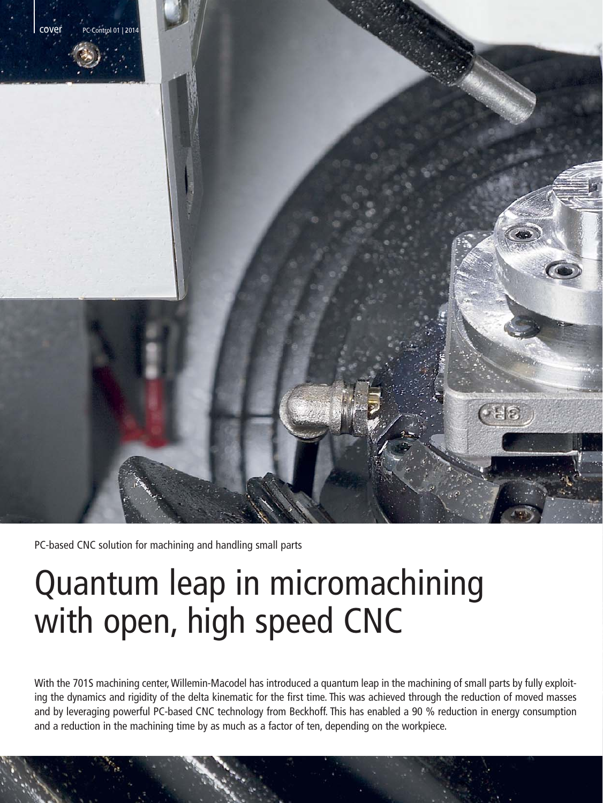

PC-based CNC solution for machining and handling small parts

# Quantum leap in micromachining with open, high speed CNC

With the 701S machining center, Willemin-Macodel has introduced a quantum leap in the machining of small parts by fully exploiting the dynamics and rigidity of the delta kinematic for the first time. This was achieved through the reduction of moved masses and by leveraging powerful PC-based CNC technology from Beckhoff. This has enabled a 90 % reduction in energy consumption and a reduction in the machining time by as much as a factor of ten, depending on the workpiece.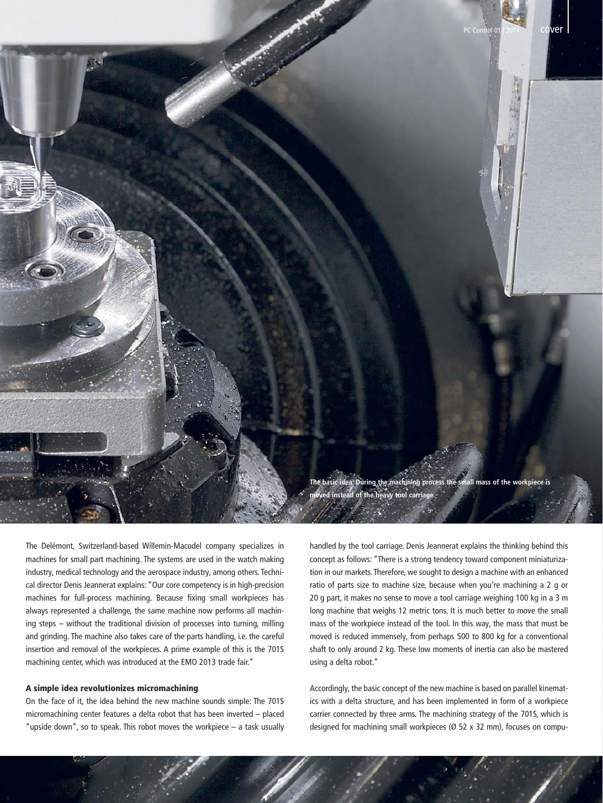

The Delémont, Switzerland-based Willemin-Macodel company specializes in machines for small part machining. The systems are used in the watch making industry, medical technology and the aerospace industry, among others. Technical director Denis Jeannerat explains: "Our core competency is in high-precision machines for full-process machining. Because fixing small workpieces has always represented a challenge, the same machine now performs all machining steps – without the traditional division of processes into turning, milling and grinding. The machine also takes care of the parts handling, i.e. the careful insertion and removal of the workpieces. A prime example of this is the 701S machining center, which was introduced at the EMO 2013 trade fair."

## A simple idea revolutionizes micromachining

On the face of it, the idea behind the new machine sounds simple: The 701S micromachining center features a delta robot that has been inverted – placed "upside down", so to speak. This robot moves the workpiece – a task usually handled by the tool carriage. Denis Jeannerat explains the thinking behind this concept as follows: "There is a strong tendency toward component miniaturization in our markets. Therefore, we sought to design a machine with an enhanced ratio of parts size to machine size, because when you're machining a 2 g or 20 g part, it makes no sense to move a tool carriage weighing 100 kg in a 3 m long machine that weighs 12 metric tons. It is much better to move the small mass of the workpiece instead of the tool. In this way, the mass that must be moved is reduced immensely, from perhaps 500 to 800 kg for a conventional shaft to only around 2 kg. These low moments of inertia can also be mastered using a delta robot."

Accordingly, the basic concept of the new machine is based on parallel kinematics with a delta structure, and has been implemented in form of a workpiece carrier connected by three arms. The machining strategy of the 701S, which is designed for machining small workpieces (Ø 52 x 32 mm), focuses on compu-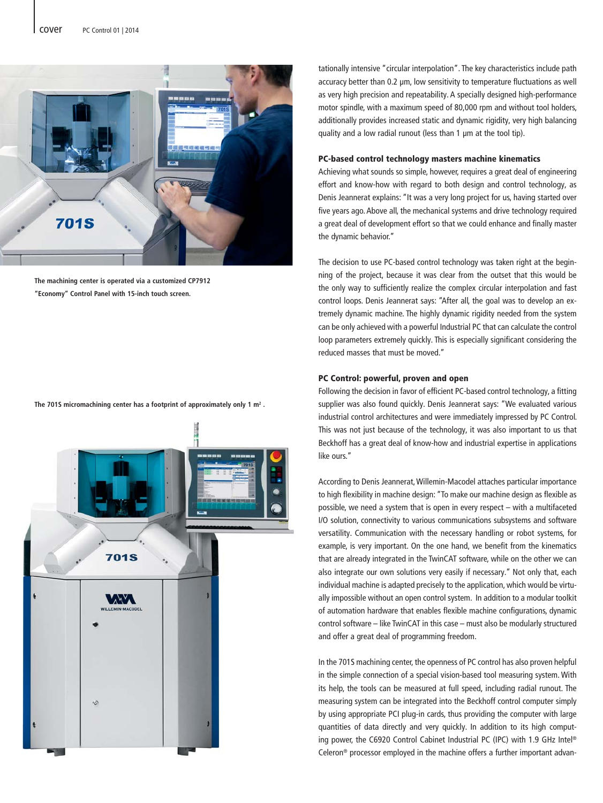

**The machining center is operated via a customized CP7912 "Economy" Control Panel with 15-inch touch screen.**

**The 701S micromachining center has a footprint of approximately only 1 m2 .**



tationally intensive "circular interpolation". The key characteristics include path accuracy better than 0.2 μm, low sensitivity to temperature fluctuations as well as very high precision and repeatability. A specially designed high-performance motor spindle, with a maximum speed of 80,000 rpm and without tool holders, additionally provides increased static and dynamic rigidity, very high balancing quality and a low radial runout (less than 1 μm at the tool tip).

# PC-based control technology masters machine kinematics

Achieving what sounds so simple, however, requires a great deal of engineering effort and know-how with regard to both design and control technology, as Denis Jeannerat explains: "It was a very long project for us, having started over five years ago. Above all, the mechanical systems and drive technology required a great deal of development effort so that we could enhance and finally master the dynamic behavior."

The decision to use PC-based control technology was taken right at the beginning of the project, because it was clear from the outset that this would be the only way to sufficiently realize the complex circular interpolation and fast control loops. Denis Jeannerat says: "After all, the goal was to develop an extremely dynamic machine. The highly dynamic rigidity needed from the system can be only achieved with a powerful Industrial PC that can calculate the control loop parameters extremely quickly. This is especially significant considering the reduced masses that must be moved."

### PC Control: powerful, proven and open

Following the decision in favor of efficient PC-based control technology, a fitting supplier was also found quickly. Denis Jeannerat says: "We evaluated various industrial control architectures and were immediately impressed by PC Control. This was not just because of the technology, it was also important to us that Beckhoff has a great deal of know-how and industrial expertise in applications like ours."

According to Denis Jeannerat, Willemin-Macodel attaches particular importance to high flexibility in machine design: "To make our machine design as flexible as possible, we need a system that is open in every respect – with a multifaceted I/O solution, connectivity to various communications subsystems and software versatility. Communication with the necessary handling or robot systems, for example, is very important. On the one hand, we benefit from the kinematics that are already integrated in the TwinCAT software, while on the other we can also integrate our own solutions very easily if necessary." Not only that, each individual machine is adapted precisely to the application, which would be virtually impossible without an open control system. In addition to a modular toolkit of automation hardware that enables flexible machine configurations, dynamic control software – like TwinCAT in this case – must also be modularly structured and offer a great deal of programming freedom.

In the 701S machining center, the openness of PC control has also proven helpful in the simple connection of a special vision-based tool measuring system. With its help, the tools can be measured at full speed, including radial runout. The measuring system can be integrated into the Beckhoff control computer simply by using appropriate PCI plug-in cards, thus providing the computer with large quantities of data directly and very quickly. In addition to its high computing power, the C6920 Control Cabinet Industrial PC (IPC) with 1.9 GHz Intel® Celeron® processor employed in the machine offers a further important advan-